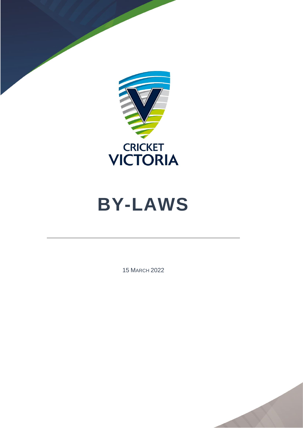

# **BY-LAWS**

15 MARCH 2022

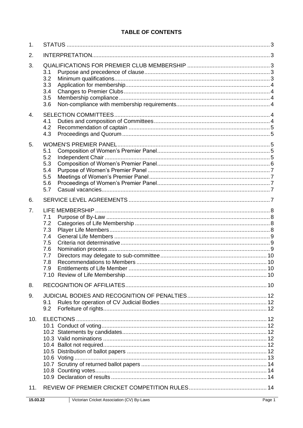# TABLE OF CONTENTS

| 1.  |                                                             |  |
|-----|-------------------------------------------------------------|--|
| 2.  |                                                             |  |
| 3.  | 3.1<br>3.2<br>3.3<br>3.4<br>3.5<br>3.6                      |  |
| 4.  | 4.1<br>4.2<br>4.3                                           |  |
| 5.  | 5.1<br>5.2<br>5.3<br>5.4<br>5.5<br>5.6<br>5.7               |  |
| 6.  |                                                             |  |
| 7.  | 7.1<br>7.2<br>7.3<br>7.4<br>7.5<br>7.6<br>7.7<br>7.8<br>7.9 |  |
| 8.  |                                                             |  |
| 9.  | 9.1<br>9.2                                                  |  |
| 10. |                                                             |  |
| 11. |                                                             |  |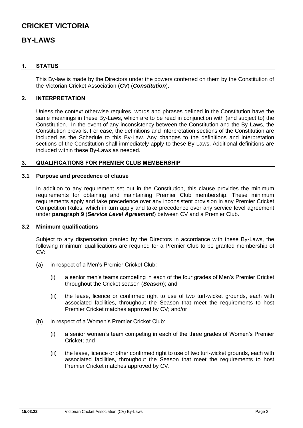# **CRICKET VICTORIA**

# **BY-LAWS**

# <span id="page-3-0"></span>**1. STATUS**

This By-law is made by the Directors under the powers conferred on them by the Constitution of the Victorian Cricket Association (*CV*) (*Constitution*).

# <span id="page-3-1"></span>**2. INTERPRETATION**

Unless the context otherwise requires, words and phrases defined in the Constitution have the same meanings in these By-Laws, which are to be read in conjunction with (and subject to) the Constitution. In the event of any inconsistency between the Constitution and the By-Laws, the Constitution prevails. For ease, the definitions and interpretation sections of the Constitution are included as the Schedule to this By-Law. Any changes to the definitions and interpretation sections of the Constitution shall immediately apply to these By-Laws. Additional definitions are included within these By-Laws as needed.

# <span id="page-3-2"></span>**3. QUALIFICATIONS FOR PREMIER CLUB MEMBERSHIP**

# <span id="page-3-3"></span>**3.1 Purpose and precedence of clause**

In addition to any requirement set out in the Constitution, this clause provides the minimum requirements for obtaining and maintaining Premier Club membership. These minimum requirements apply and take precedence over any inconsistent provision in any Premier Cricket Competition Rules, which in turn apply and take precedence over any service level agreement under **paragraph [9](#page-12-0)** (*Service Level Agreement*) between CV and a Premier Club.

# <span id="page-3-4"></span>**3.2 Minimum qualifications**

Subject to any dispensation granted by the Directors in accordance with these By-Laws, the following minimum qualifications are required for a Premier Club to be granted membership of CV:

- (a) in respect of a Men's Premier Cricket Club:
	- (i) a senior men's teams competing in each of the four grades of Men's Premier Cricket throughout the Cricket season (*Season*); and
	- (ii) the lease, licence or confirmed right to use of two turf-wicket grounds, each with associated facilities, throughout the Season that meet the requirements to host Premier Cricket matches approved by CV; and/or
- (b) in respect of a Women's Premier Cricket Club:
	- (i) a senior women's team competing in each of the three grades of Women's Premier Cricket; and
	- (ii) the lease, licence or other confirmed right to use of two turf-wicket grounds, each with associated facilities, throughout the Season that meet the requirements to host Premier Cricket matches approved by CV.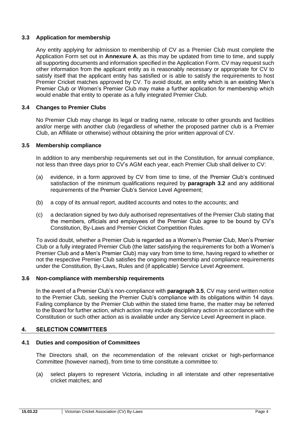# <span id="page-4-0"></span>**3.3 Application for membership**

Any entity applying for admission to membership of CV as a Premier Club must complete the Application Form set out in **Annexure A**, as this may be updated from time to time, and supply all supporting documents and information specified in the Application Form. CV may request such other information from the applicant entity as is reasonably necessary or appropriate for CV to satisfy itself that the applicant entity has satisfied or is able to satisfy the requirements to host Premier Cricket matches approved by CV. To avoid doubt, an entity which is an existing Men's Premier Club or Women's Premier Club may make a further application for membership which would enable that entity to operate as a fully integrated Premier Club.

# <span id="page-4-1"></span>**3.4 Changes to Premier Clubs**

No Premier Club may change its legal or trading name, relocate to other grounds and facilities and/or merge with another club (regardless of whether the proposed partner club is a Premier Club, an Affiliate or otherwise) without obtaining the prior written approval of CV.

# <span id="page-4-2"></span>**3.5 Membership compliance**

In addition to any membership requirements set out in the Constitution, for annual compliance, not less than three days prior to CV's AGM each year, each Premier Club shall deliver to CV:

- (a) evidence, in a form approved by CV from time to time, of the Premier Club's continued satisfaction of the minimum qualifications required by **paragraph [3.2](#page-3-4)** and any additional requirements of the Premier Club's Service Level Agreement;
- (b) a copy of its annual report, audited accounts and notes to the accounts; and
- (c) a declaration signed by two duly authorised representatives of the Premier Club stating that the members, officials and employees of the Premier Club agree to be bound by CV's Constitution, By-Laws and Premier Cricket Competition Rules.

To avoid doubt, whether a Premier Club is regarded as a Women's Premier Club, Men's Premier Club or a fully integrated Premier Club (the latter satisfying the requirements for both a Women's Premier Club and a Men's Premier Club) may vary from time to time, having regard to whether or not the respective Premier Club satisfies the ongoing membership and compliance requirements under the Constitution, By-Laws, Rules and (if applicable) Service Level Agreement.

# <span id="page-4-3"></span>**3.6 Non-compliance with membership requirements**

In the event of a Premier Club's non-compliance with **paragraph [3.5](#page-4-2)**, CV may send written notice to the Premier Club, seeking the Premier Club's compliance with its obligations within 14 days. Failing compliance by the Premier Club within the stated time frame, the matter may be referred to the Board for further action, which action may include disciplinary action in accordance with the Constitution or such other action as is available under any Service Level Agreement in place.

# <span id="page-4-4"></span>**4. SELECTION COMMITTEES**

# <span id="page-4-5"></span>**4.1 Duties and composition of Committees**

The Directors shall, on the recommendation of the relevant cricket or high-performance Committee (however named), from time to time constitute a committee to:

(a) select players to represent Victoria, including in all interstate and other representative cricket matches; and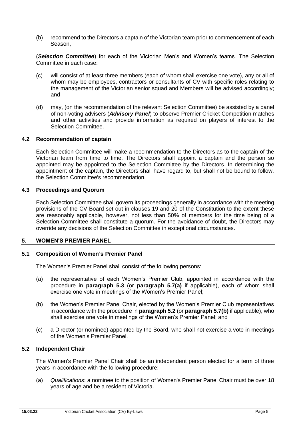(b) recommend to the Directors a captain of the Victorian team prior to commencement of each Season,

(*Selection Committee*) for each of the Victorian Men's and Women's teams. The Selection Committee in each case:

- (c) will consist of at least three members (each of whom shall exercise one vote), any or all of whom may be employees, contractors or consultants of CV with specific roles relating to the management of the Victorian senior squad and Members will be advised accordingly; and
- (d) may, (on the recommendation of the relevant Selection Committee) be assisted by a panel of non-voting advisers (*Advisory Panel*) to observe Premier Cricket Competition matches and other activities and provide information as required on players of interest to the Selection Committee.

#### <span id="page-5-0"></span>**4.2 Recommendation of captain**

Each Selection Committee will make a recommendation to the Directors as to the captain of the Victorian team from time to time. The Directors shall appoint a captain and the person so appointed may be appointed to the Selection Committee by the Directors. In determining the appointment of the captain, the Directors shall have regard to, but shall not be bound to follow, the Selection Committee's recommendation.

#### <span id="page-5-1"></span>**4.3 Proceedings and Quorum**

Each Selection Committee shall govern its proceedings generally in accordance with the meeting provisions of the CV Board set out in clauses 19 and 20 of the Constitution to the extent these are reasonably applicable, however, not less than 50% of members for the time being of a Selection Committee shall constitute a quorum. For the avoidance of doubt, the Directors may override any decisions of the Selection Committee in exceptional circumstances.

# <span id="page-5-2"></span>**5. WOMEN'S PREMIER PANEL**

# <span id="page-5-3"></span>**5.1 Composition of Women's Premier Panel**

The Women's Premier Panel shall consist of the following persons:

- (a) the representative of each Women's Premier Club, appointed in accordance with the procedure in **paragraph [5.3](#page-6-0)** (or **paragraph [5.7](#page-7-3)[\(a\)](#page-7-5)** if applicable), each of whom shall exercise one vote in meetings of the Women's Premier Panel;
- (b) the Women's Premier Panel Chair, elected by the Women's Premier Club representatives in accordance with the procedure in **paragraph [5.2](#page-5-4)** (or **paragrap[h 5.7](#page-7-3)[\(b\)](#page-7-6)** if applicable), who shall exercise one vote in meetings of the Women's Premier Panel; and
- (c) a Director (or nominee) appointed by the Board, who shall not exercise a vote in meetings of the Women's Premier Panel.

# <span id="page-5-4"></span>**5.2 Independent Chair**

The Women's Premier Panel Chair shall be an independent person elected for a term of three years in accordance with the following procedure:

(a) *Qualifications*: a nominee to the position of Women's Premier Panel Chair must be over 18 years of age and be a resident of Victoria.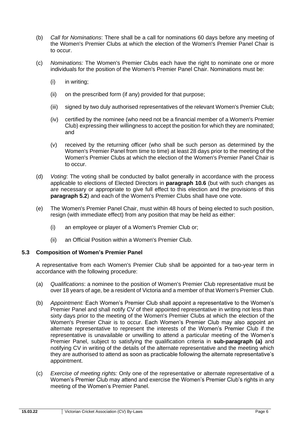- (b) *Call for Nominations*: There shall be a call for nominations 60 days before any meeting of the Women's Premier Clubs at which the election of the Women's Premier Panel Chair is to occur.
- (c) *Nominations:* The Women's Premier Clubs each have the right to nominate one or more individuals for the position of the Women's Premier Panel Chair. Nominations must be:
	- (i) in writing;
	- (ii) on the prescribed form (if any) provided for that purpose;
	- (iii) signed by two duly authorised representatives of the relevant Women's Premier Club;
	- (iv) certified by the nominee (who need not be a financial member of a Women's Premier Club) expressing their willingness to accept the position for which they are nominated; and
	- (v) received by the returning officer (who shall be such person as determined by the Women's Premier Panel from time to time) at least 28 days prior to the meeting of the Women's Premier Clubs at which the election of the Women's Premier Panel Chair is to occur.
- (d) *Voting*: The voting shall be conducted by ballot generally in accordance with the process applicable to elections of Elected Directors in **paragraph [10.6](#page-13-0)** (but with such changes as are necessary or appropriate to give full effect to this election and the provisions of this **paragraph [5.2](#page-5-4)**) and each of the Women's Premier Clubs shall have one vote.
- <span id="page-6-2"></span>(e) The Women's Premier Panel Chair, must within 48 hours of being elected to such position, resign (with immediate effect) from any position that may be held as either:
	- (i) an employee or player of a Women's Premier Club or;
	- (ii) an Official Position within a Women's Premier Club.

# <span id="page-6-0"></span>**5.3 Composition of Women's Premier Panel**

A representative from each Women's Premier Club shall be appointed for a two-year term in accordance with the following procedure:

- <span id="page-6-1"></span>(a) *Qualifications*: a nominee to the position of Women's Premier Club representative must be over 18 years of age, be a resident of Victoria and a member of that Women's Premier Club.
- (b) *Appointment:* Each Women's Premier Club shall appoint a representative to the Women's Premier Panel and shall notify CV of their appointed representative in writing not less than sixty days prior to the meeting of the Women's Premier Clubs at which the election of the Women's Premier Chair is to occur. Each Women's Premier Club may also appoint an alternate representative to represent the interests of the Women's Premier Club if the representative is unavailable or unwilling to attend a particular meeting of the Women's Premier Panel, subject to satisfying the qualification criteria in **sub-paragraph [\(a\)](#page-6-1)** and notifying CV in writing of the details of the alternate representative and the meeting which they are authorised to attend as soon as practicable following the alternate representative's appointment.
- (c) *Exercise of meeting rights:* Only one of the representative or alternate representative of a Women's Premier Club may attend and exercise the Women's Premier Club's rights in any meeting of the Women's Premier Panel.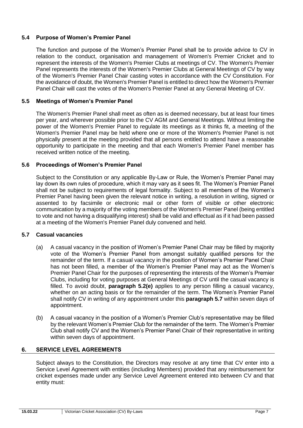# <span id="page-7-0"></span>**5.4 Purpose of Women's Premier Panel**

The function and purpose of the Women's Premier Panel shall be to provide advice to CV in relation to the conduct, organisation and management of Women's Premier Cricket and to represent the interests of the Women's Premier Clubs at meetings of CV. The Women's Premier Panel represents the interests of the Women's Premier Clubs at General Meetings of CV by way of the Women's Premier Panel Chair casting votes in accordance with the CV Constitution. For the avoidance of doubt, the Women's Premier Panel is entitled to direct how the Women's Premier Panel Chair will cast the votes of the Women's Premier Panel at any General Meeting of CV.

# <span id="page-7-1"></span>**5.5 Meetings of Women's Premier Panel**

The Women's Premier Panel shall meet as often as is deemed necessary, but at least four times per year, and wherever possible prior to the CV AGM and General Meetings. Without limiting the power of the Women's Premier Panel to regulate its meetings as it thinks fit, a meeting of the Women's Premier Panel may be held where one or more of the Women's Premier Panel is not physically present at the meeting provided that all persons entitled to attend have a reasonable opportunity to participate in the meeting and that each Women's Premier Panel member has received written notice of the meeting.

# <span id="page-7-2"></span>**5.6 Proceedings of Women's Premier Panel**

Subject to the Constitution or any applicable By-Law or Rule, the Women's Premier Panel may lay down its own rules of procedure, which it may vary as it sees fit. The Women's Premier Panel shall not be subject to requirements of legal formality. Subject to all members of the Women's Premier Panel having been given the relevant notice in writing, a resolution in writing, signed or assented to by facsimile or electronic mail or other form of visible or other electronic communication by a majority of the voting members of the Women's Premier Panel (being entitled to vote and not having a disqualifying interest) shall be valid and effectual as if it had been passed at a meeting of the Women's Premier Panel duly convened and held.

# <span id="page-7-5"></span><span id="page-7-3"></span>**5.7 Casual vacancies**

- (a) A casual vacancy in the position of Women's Premier Panel Chair may be filled by majority vote of the Women's Premier Panel from amongst suitably qualified persons for the remainder of the term. If a casual vacancy in the position of Women's Premier Panel Chair has not been filled, a member of the Women's Premier Panel may act as the Women's Premier Panel Chair for the purposes of representing the interests of the Women's Premier Clubs, including for voting purposes at General Meetings of CV until the casual vacancy is filled. To avoid doubt, **paragraph [5.2](#page-5-4)[\(e\)](#page-6-2)** applies to any person filling a casual vacancy, whether on an acting basis or for the remainder of the term. The Women's Premier Panel shall notify CV in writing of any appointment under this **paragraph [5.7](#page-7-3)** within seven days of appointment.
- <span id="page-7-6"></span>(b) A casual vacancy in the position of a Women's Premier Club's representative may be filled by the relevant Women's Premier Club for the remainder of the term. The Women's Premier Club shall notify CV and the Women's Premier Panel Chair of their representative in writing within seven days of appointment.

# <span id="page-7-4"></span>**6. SERVICE LEVEL AGREEMENTS**

Subject always to the Constitution, the Directors may resolve at any time that CV enter into a Service Level Agreement with entities (including Members) provided that any reimbursement for cricket expenses made under any Service Level Agreement entered into between CV and that entity must: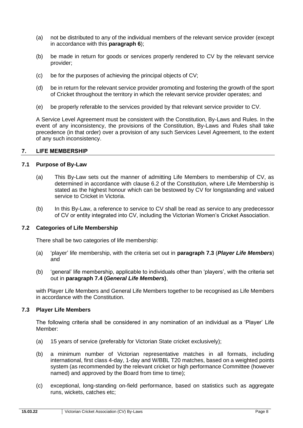- (a) not be distributed to any of the individual members of the relevant service provider (except in accordance with this **paragraph [6](#page-7-4)**);
- (b) be made in return for goods or services properly rendered to CV by the relevant service provider;
- (c) be for the purposes of achieving the principal objects of CV;
- (d) be in return for the relevant service provider promoting and fostering the growth of the sport of Cricket throughout the territory in which the relevant service provider operates; and
- (e) be properly referable to the services provided by that relevant service provider to CV.

A Service Level Agreement must be consistent with the Constitution, By-Laws and Rules. In the event of any inconsistency, the provisions of the Constitution, By-Laws and Rules shall take precedence (in that order) over a provision of any such Services Level Agreement, to the extent of any such inconsistency.

#### <span id="page-8-0"></span>**7. LIFE MEMBERSHIP**

#### <span id="page-8-1"></span>**7.1 Purpose of By-Law**

- (a) This By-Law sets out the manner of admitting Life Members to membership of CV, as determined in accordance with clause 6.2 of the Constitution, where Life Membership is stated as the highest honour which can be bestowed by CV for longstanding and valued service to Cricket in Victoria.
- (b) In this By-Law, a reference to service to CV shall be read as service to any predecessor of CV or entity integrated into CV, including the Victorian Women's Cricket Association.

# <span id="page-8-2"></span>**7.2 Categories of Life Membership**

There shall be two categories of life membership:

- (a) 'player' life membership, with the criteria set out in **paragraph [7.3](#page-8-3)** (*Player Life Members*) and
- (b) 'general' life membership, applicable to individuals other than 'players', with the criteria set out in **paragraph [7.4](#page-9-0) (***General Life Members***)**,

with Player Life Members and General Life Members together to be recognised as Life Members in accordance with the Constitution.

# <span id="page-8-3"></span>**7.3 Player Life Members**

The following criteria shall be considered in any nomination of an individual as a 'Player' Life Member:

- (a) 15 years of service (preferably for Victorian State cricket exclusively);
- (b) a minimum number of Victorian representative matches in all formats, including international, first class 4-day, 1-day and W/BBL T20 matches, based on a weighted points system (as recommended by the relevant cricket or high performance Committee (however named) and approved by the Board from time to time);
- (c) exceptional, long-standing on-field performance, based on statistics such as aggregate runs, wickets, catches etc;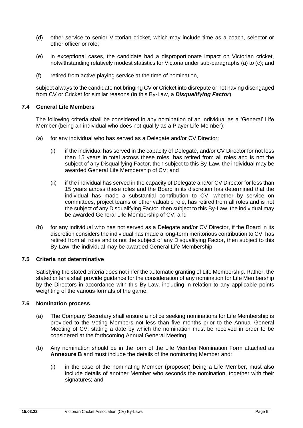- (d) other service to senior Victorian cricket, which may include time as a coach, selector or other officer or role;
- (e) in exceptional cases, the candidate had a disproportionate impact on Victorian cricket, notwithstanding relatively modest statistics for Victoria under sub-paragraphs (a) to (c); and
- (f) retired from active playing service at the time of nomination,

subject always to the candidate not bringing CV or Cricket into disrepute or not having disengaged from CV or Cricket for similar reasons (in this By-Law, a *Disqualifying Factor*).

# <span id="page-9-0"></span>**7.4 General Life Members**

The following criteria shall be considered in any nomination of an individual as a 'General' Life Member (being an individual who does not qualify as a Player Life Member):

- (a) for any individual who has served as a Delegate and/or CV Director:
	- (i) if the individual has served in the capacity of Delegate, and/or CV Director for not less than 15 years in total across these roles, has retired from all roles and is not the subject of any Disqualifying Factor, then subject to this By-Law, the individual may be awarded General Life Membership of CV; and
	- (ii) if the individual has served in the capacity of Delegate and/or CV Director for less than 15 years across these roles and the Board in its discretion has determined that the individual has made a substantial contribution to CV, whether by service on committees, project teams or other valuable role, has retired from all roles and is not the subject of any Disqualifying Factor, then subject to this By-Law, the individual may be awarded General Life Membership of CV; and
- (b) for any individual who has not served as a Delegate and/or CV Director, if the Board in its discretion considers the individual has made a long-term meritorious contribution to CV, has retired from all roles and is not the subject of any Disqualifying Factor, then subject to this By-Law, the individual may be awarded General Life Membership.

# <span id="page-9-1"></span>**7.5 Criteria not determinative**

Satisfying the stated criteria does not infer the automatic granting of Life Membership. Rather, the stated criteria shall provide guidance for the consideration of any nomination for Life Membership by the Directors in accordance with this By-Law, including in relation to any applicable points weighting of the various formats of the game.

# <span id="page-9-3"></span><span id="page-9-2"></span>**7.6 Nomination process**

- (a) The Company Secretary shall ensure a notice seeking nominations for Life Membership is provided to the Voting Members not less than five months prior to the Annual General Meeting of CV, stating a date by which the nomination must be received in order to be considered at the forthcoming Annual General Meeting.
- (b) Any nomination should be in the form of the Life Member Nomination Form attached as **Annexure B** and must include the details of the nominating Member and:
	- (i) in the case of the nominating Member (proposer) being a Life Member, must also include details of another Member who seconds the nomination, together with their signatures; and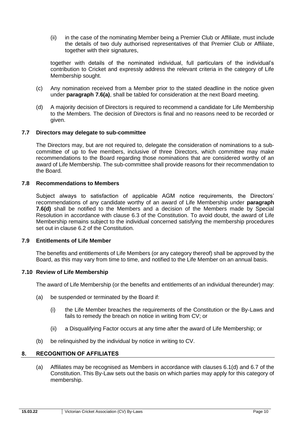(ii) in the case of the nominating Member being a Premier Club or Affiliate, must include the details of two duly authorised representatives of that Premier Club or Affiliate, together with their signatures,

together with details of the nominated individual, full particulars of the individual's contribution to Cricket and expressly address the relevant criteria in the category of Life Membership sought.

- (c) Any nomination received from a Member prior to the stated deadline in the notice given under **paragraph [7.6](#page-9-2)[\(a\)](#page-9-3)**, shall be tabled for consideration at the next Board meeting.
- <span id="page-10-5"></span>(d) A majority decision of Directors is required to recommend a candidate for Life Membership to the Members. The decision of Directors is final and no reasons need to be recorded or given.

# <span id="page-10-0"></span>**7.7 Directors may delegate to sub-committee**

The Directors may, but are not required to, delegate the consideration of nominations to a subcommittee of up to five members, inclusive of three Directors, which committee may make recommendations to the Board regarding those nominations that are considered worthy of an award of Life Membership. The sub-committee shall provide reasons for their recommendation to the Board.

# <span id="page-10-1"></span>**7.8 Recommendations to Members**

Subject always to satisfaction of applicable AGM notice requirements, the Directors' recommendations of any candidate worthy of an award of Life Membership under **paragraph [7.6](#page-9-2)[\(d\)](#page-10-5)** shall be notified to the Members and a decision of the Members made by Special Resolution in accordance with clause 6.3 of the Constitution. To avoid doubt, the award of Life Membership remains subject to the individual concerned satisfying the membership procedures set out in clause 6.2 of the Constitution.

# <span id="page-10-2"></span>**7.9 Entitlements of Life Member**

The benefits and entitlements of Life Members (or any category thereof) shall be approved by the Board, as this may vary from time to time, and notified to the Life Member on an annual basis.

# <span id="page-10-3"></span>**7.10 Review of Life Membership**

The award of Life Membership (or the benefits and entitlements of an individual thereunder) may:

- (a) be suspended or terminated by the Board if:
	- (i) the Life Member breaches the requirements of the Constitution or the By-Laws and fails to remedy the breach on notice in writing from CV; or
	- (ii) a Disqualifying Factor occurs at any time after the award of Life Membership; or
- (b) be relinquished by the individual by notice in writing to CV.

# <span id="page-10-4"></span>**8. RECOGNITION OF AFFILIATES**

(a) Affiliates may be recognised as Members in accordance with clauses 6.1(d) and 6.7 of the Constitution. This By-Law sets out the basis on which parties may apply for this category of membership.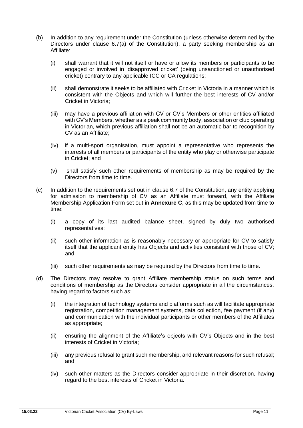- (b) In addition to any requirement under the Constitution (unless otherwise determined by the Directors under clause 6.7(a) of the Constitution), a party seeking membership as an Affiliate:
	- (i) shall warrant that it will not itself or have or allow its members or participants to be engaged or involved in 'disapproved cricket' (being unsanctioned or unauthorised cricket) contrary to any applicable ICC or CA regulations;
	- (ii) shall demonstrate it seeks to be affiliated with Cricket in Victoria in a manner which is consistent with the Objects and which will further the best interests of CV and/or Cricket in Victoria;
	- (iii) may have a previous affiliation with CV or CV's Members or other entities affiliated with CV's Members, whether as a peak community body, association or club operating in Victorian, which previous affiliation shall not be an automatic bar to recognition by CV as an Affiliate;
	- (iv) if a multi-sport organisation, must appoint a representative who represents the interests of all members or participants of the entity who play or otherwise participate in Cricket; and
	- (v) shall satisfy such other requirements of membership as may be required by the Directors from time to time.
- (c) In addition to the requirements set out in clause 6.7 of the Constitution, any entity applying for admission to membership of CV as an Affiliate must forward, with the Affiliate Membership Application Form set out in **Annexure C**, as this may be updated from time to time:
	- (i) a copy of its last audited balance sheet, signed by duly two authorised representatives;
	- (ii) such other information as is reasonably necessary or appropriate for CV to satisfy itself that the applicant entity has Objects and activities consistent with those of CV; and
	- (iii) such other requirements as may be required by the Directors from time to time.
- (d) The Directors may resolve to grant Affiliate membership status on such terms and conditions of membership as the Directors consider appropriate in all the circumstances, having regard to factors such as:
	- (i) the integration of technology systems and platforms such as will facilitate appropriate registration, competition management systems, data collection, fee payment (if any) and communication with the individual participants or other members of the Affiliates as appropriate;
	- (ii) ensuring the alignment of the Affiliate's objects with CV's Objects and in the best interests of Cricket in Victoria;
	- (iii) any previous refusal to grant such membership, and relevant reasons for such refusal; and
	- (iv) such other matters as the Directors consider appropriate in their discretion, having regard to the best interests of Cricket in Victoria.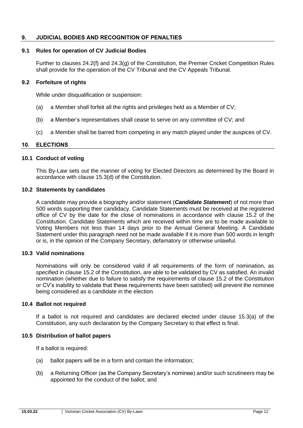# <span id="page-12-0"></span>**9. JUDICIAL BODIES AND RECOGNITION OF PENALTIES**

#### <span id="page-12-1"></span>**9.1 Rules for operation of CV Judicial Bodies**

Further to clauses 24.2(f) and 24.3(g) of the Constitution, the Premier Cricket Competition Rules shall provide for the operation of the CV Tribunal and the CV Appeals Tribunal.

#### <span id="page-12-2"></span>**9.2 Forfeiture of rights**

While under disqualification or suspension:

- (a) a Member shall forfeit all the rights and privileges held as a Member of CV;
- (b) a Member's representatives shall cease to serve on any committee of CV; and
- (c) a Member shall be barred from competing in any match played under the auspices of CV.

#### <span id="page-12-3"></span>**10. ELECTIONS**

#### <span id="page-12-4"></span>**10.1 Conduct of voting**

This By-Law sets out the manner of voting for Elected Directors as determined by the Board in accordance with clause 15.3(d) of the Constitution.

#### <span id="page-12-5"></span>**10.2 Statements by candidates**

A candidate may provide a biography and/or statement (*Candidate Statement*) of not more than 500 words supporting their candidacy. Candidate Statements must be received at the registered office of CV by the date for the close of nominations in accordance with clause 15.2 of the Constitution. Candidate Statements which are received within time are to be made available to Voting Members not less than 14 days prior to the Annual General Meeting. A Candidate Statement under this paragraph need not be made available if it is more than 500 words in length or is, in the opinion of the Company Secretary, defamatory or otherwise unlawful.

### <span id="page-12-6"></span>**10.3 Valid nominations**

Nominations will only be considered valid if all requirements of the form of nomination, as specified in clause 15.2 of the Constitution, are able to be validated by CV as satisfied. An invalid nomination (whether due to failure to satisfy the requirements of clause 15.2 of the Constitution or CV's inability to validate that these requirements have been satisfied) will prevent the nominee being considered as a candidate in the election.

#### <span id="page-12-7"></span>**10.4 Ballot not required**

If a ballot is not required and candidates are declared elected under clause 15.3(a) of the Constitution, any such declaration by the Company Secretary to that effect is final.

#### <span id="page-12-8"></span>**10.5 Distribution of ballot papers**

If a ballot is required:

- (a) ballot papers will be in a form and contain the information;
- (b) a Returning Officer (as the Company Secretary's nominee) and/or such scrutineers may be appointed for the conduct of the ballot; and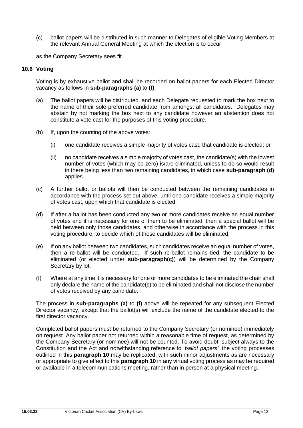(c) ballot papers will be distributed in such manner to Delegates of eligible Voting Members at the relevant Annual General Meeting at which the election is to occur

as the Company Secretary sees fit.

#### <span id="page-13-0"></span>**10.6 Voting**

Voting is by exhaustive ballot and shall be recorded on ballot papers for each Elected Director vacancy as follows in **sub-paragraphs [\(a\)](#page-13-1)** to **[\(f\)](#page-13-2)**:

- <span id="page-13-5"></span>(a) The ballot papers will be distributed, and each Delegate requested to mark the box next to the name of their sole preferred candidate from amongst all candidates. Delegates may abstain by not marking the box next to any candidate however an abstention does not constitute a vote cast for the purposes of this voting procedure.
- <span id="page-13-1"></span>(b) If, upon the counting of the above votes:
	- (i) one candidate receives a simple majority of votes cast, that candidate is elected; or
	- (ii) no candidate receives a simple majority of votes cast, the candidate(s) with the lowest number of votes (which may be zero) is/are eliminated, unless to do so would result in there being less than two remaining candidates, in which case **sub-paragraph [\(d\)](#page-13-3)** applies.
- <span id="page-13-4"></span>(c) A further ballot or ballots will then be conducted between the remaining candidates in accordance with the process set out above, until one candidate receives a simple majority of votes cast, upon which that candidate is elected.
- <span id="page-13-3"></span>(d) If after a ballot has been conducted any two or more candidates receive an equal number of votes and it is necessary for one of them to be eliminated, then a special ballot will be held between only those candidates, and otherwise in accordance with the process in this voting procedure, to decide which of those candidates will be eliminated.
- (e) If on any ballot between two candidates, such candidates receive an equal number of votes, then a re-ballot will be conducted. If such re-ballot remains tied, the candidate to be eliminated (or elected under **sub-paragrap[h\(c\)](#page-13-4)**) will be determined by the Company Secretary by lot.
- <span id="page-13-2"></span>(f) Where at any time it is necessary for one or more candidates to be eliminated the chair shall only declare the name of the candidate(s) to be eliminated and shall not disclose the number of votes received by any candidate.

The process in **sub-paragraphs [\(a\)](#page-13-5)** to **[\(f\)](#page-13-2)** above will be repeated for any subsequent Elected Director vacancy, except that the ballot(s) will exclude the name of the candidate elected to the first director vacancy.

Completed ballot papers must be returned to the Company Secretary (or nominee) immediately on request. Any ballot paper not returned within a reasonable time of request, as determined by the Company Secretary (or nominee) will not be counted. To avoid doubt, subject always to the Constitution and the Act and notwithstanding reference to '*ballot papers'*, the voting processes outlined in this **paragraph [10](#page-12-3)** may be replicated, with such minor adjustments as are necessary or appropriate to give effect to this **paragraph [10](#page-12-3)** in any virtual voting process as may be required or available in a telecommunications meeting, rather than in person at a physical meeting.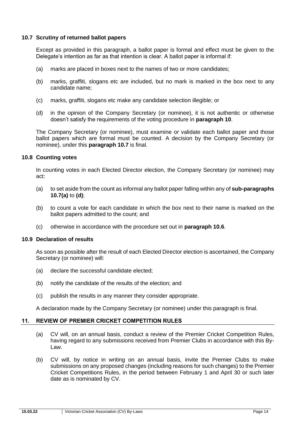# <span id="page-14-0"></span>**10.7 Scrutiny of returned ballot papers**

Except as provided in this paragraph, a ballot paper is formal and effect must be given to the Delegate's intention as far as that intention is clear. A ballot paper is informal if:

- <span id="page-14-4"></span>(a) marks are placed in boxes next to the names of two or more candidates;
- (b) marks, graffiti, slogans etc are included, but no mark is marked in the box next to any candidate name;
- (c) marks, graffiti, slogans etc make any candidate selection illegible; or
- <span id="page-14-5"></span>(d) in the opinion of the Company Secretary (or nominee), it is not authentic or otherwise doesn't satisfy the requirements of the voting procedure in **paragraph [10](#page-12-3)**.

The Company Secretary (or nominee), must examine or validate each ballot paper and those ballot papers which are formal must be counted. A decision by the Company Secretary (or nominee), under this **paragraph [10.7](#page-14-0)** is final.

# <span id="page-14-1"></span>**10.8 Counting votes**

In counting votes in each Elected Director election, the Company Secretary (or nominee) may act:

- (a) to set aside from the count as informal any ballot paper falling within any of **sub-paragraphs [10.7](#page-14-0)[\(a\)](#page-14-4)** to **[\(d\)](#page-14-5)**;
- (b) to count a vote for each candidate in which the box next to their name is marked on the ballot papers admitted to the count; and
- (c) otherwise in accordance with the procedure set out in **paragraph [10.6](#page-13-0)**.

# <span id="page-14-2"></span>**10.9 Declaration of results**

As soon as possible after the result of each Elected Director election is ascertained, the Company Secretary (or nominee) will:

- (a) declare the successful candidate elected;
- (b) notify the candidate of the results of the election; and
- (c) publish the results in any manner they consider appropriate.

A declaration made by the Company Secretary (or nominee) under this paragraph is final.

# <span id="page-14-3"></span>**11. REVIEW OF PREMIER CRICKET COMPETITION RULES**

- (a) CV will, on an annual basis, conduct a review of the Premier Cricket Competition Rules, having regard to any submissions received from Premier Clubs in accordance with this By-Law.
- (b) CV will, by notice in writing on an annual basis, invite the Premier Clubs to make submissions on any proposed changes (including reasons for such changes) to the Premier Cricket Competitions Rules, in the period between February 1 and April 30 or such later date as is nominated by CV.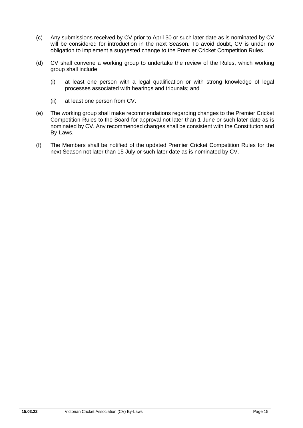- (c) Any submissions received by CV prior to April 30 or such later date as is nominated by CV will be considered for introduction in the next Season. To avoid doubt, CV is under no obligation to implement a suggested change to the Premier Cricket Competition Rules.
- (d) CV shall convene a working group to undertake the review of the Rules, which working group shall include:
	- (i) at least one person with a legal qualification or with strong knowledge of legal processes associated with hearings and tribunals; and
	- (ii) at least one person from CV.
- (e) The working group shall make recommendations regarding changes to the Premier Cricket Competition Rules to the Board for approval not later than 1 June or such later date as is nominated by CV. Any recommended changes shall be consistent with the Constitution and By-Laws.
- (f) The Members shall be notified of the updated Premier Cricket Competition Rules for the next Season not later than 15 July or such later date as is nominated by CV.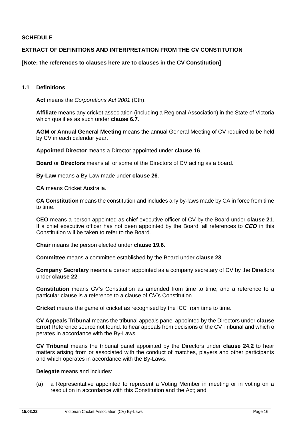# <span id="page-16-0"></span>**SCHEDULE**

# **EXTRACT OF DEFINITIONS AND INTERPRETATION FROM THE CV CONSTITUTION**

# **[Note: the references to clauses here are to clauses in the CV Constitution]**

# **1.1 Definitions**

**Act** means the *Corporations Act 2001* (Cth).

**Affiliate** means any cricket association (including a Regional Association) in the State of Victoria which qualifies as such under **clause 6.7**.

**AGM** or **Annual General Meeting** means the annual General Meeting of CV required to be held by CV in each calendar year.

**Appointed Director** means a Director appointed under **clause 16**.

**Board** or **Directors** means all or some of the Directors of CV acting as a board.

**By-Law** means a By-Law made under **clause 26**.

**CA** means Cricket Australia.

**CA Constitution** means the constitution and includes any by-laws made by CA in force from time to time.

**CEO** means a person appointed as chief executive officer of CV by the Board under **clause 21**. If a chief executive officer has not been appointed by the Board, all references to *CEO* in this Constitution will be taken to refer to the Board.

**Chair** means the person elected under **clause 19.6**.

**Committee** means a committee established by the Board under **clause 23**.

**Company Secretary** means a person appointed as a company secretary of CV by the Directors under **clause 22**.

**Constitution** means CV's Constitution as amended from time to time, and a reference to a particular clause is a reference to a clause of CV's Constitution.

**Cricket** means the game of cricket as recognised by the ICC from time to time.

**CV Appeals Tribunal** means the tribunal appeals panel appointed by the Directors under **clause**  Error! Reference source not found. to hear appeals from decisions of the CV Tribunal and which o perates in accordance with the By-Laws.

**CV Tribunal** means the tribunal panel appointed by the Directors under **clause 24.2** to hear matters arising from or associated with the conduct of matches, players and other participants and which operates in accordance with the By-Laws.

**Delegate** means and includes:

(a) a Representative appointed to represent a Voting Member in meeting or in voting on a resolution in accordance with this Constitution and the Act; and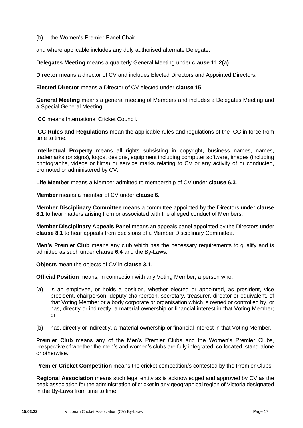(b) the Women's Premier Panel Chair,

and where applicable includes any duly authorised alternate Delegate.

**Delegates Meeting** means a quarterly General Meeting under **clause 11.2(a)**.

**Director** means a director of CV and includes Elected Directors and Appointed Directors.

**Elected Director** means a Director of CV elected under **clause 15**.

**General Meeting** means a general meeting of Members and includes a Delegates Meeting and a Special General Meeting.

**ICC** means International Cricket Council.

**ICC Rules and Regulations** mean the applicable rules and regulations of the ICC in force from time to time.

**Intellectual Property** means all rights subsisting in copyright, business names, names, trademarks (or signs), logos, designs, equipment including computer software, images (including photographs, videos or films) or service marks relating to CV or any activity of or conducted, promoted or administered by CV.

**Life Member** means a Member admitted to membership of CV under **clause 6.3**.

**Member** means a member of CV under **clause 6**.

**Member Disciplinary Committee** means a committee appointed by the Directors under **clause 8.1** to hear matters arising from or associated with the alleged conduct of Members.

**Member Disciplinary Appeals Panel** means an appeals panel appointed by the Directors under **clause 8.1** to hear appeals from decisions of a Member Disciplinary Committee.

**Men's Premier Club** means any club which has the necessary requirements to qualify and is admitted as such under **clause 6.4** and the By-Laws.

**Objects** mean the objects of CV in **clause 3.1**.

**Official Position** means, in connection with any Voting Member, a person who:

- (a) is an employee, or holds a position, whether elected or appointed, as president, vice president, chairperson, deputy chairperson, secretary, treasurer, director or equivalent, of that Voting Member or a body corporate or organisation which is owned or controlled by, or has, directly or indirectly, a material ownership or financial interest in that Voting Member; or
- (b) has, directly or indirectly, a material ownership or financial interest in that Voting Member.

**Premier Club** means any of the Men's Premier Clubs and the Women's Premier Clubs, irrespective of whether the men's and women's clubs are fully integrated, co-located, stand-alone or otherwise.

**Premier Cricket Competition** means the cricket competition/s contested by the Premier Clubs.

**Regional Association** means such legal entity as is acknowledged and approved by CV as the peak association for the administration of cricket in any geographical region of Victoria designated in the By-Laws from time to time.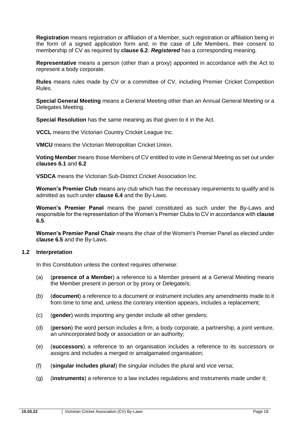**Registration** means registration or affiliation of a Member, such registration or affiliation being in the form of a signed application form and, in the case of Life Members, their consent to membership of CV as required by **clause 6.2**. *Registered* has a corresponding meaning.

**Representative** means a person (other than a proxy) appointed in accordance with the Act to represent a body corporate.

**Rules** means rules made by CV or a committee of CV, including Premier Cricket Competition Rules.

**Special General Meeting** means a General Meeting other than an Annual General Meeting or a Delegates Meeting.

**Special Resolution** has the same meaning as that given to it in the Act.

**VCCL** means the Victorian Country Cricket League Inc.

**VMCU** means the Victorian Metropolitan Cricket Union.

**Voting Member** means those Members of CV entitled to vote in General Meeting as set out under **clauses 6.1** and **6.2**

**VSDCA** means the Victorian Sub-District Cricket Association Inc.

**Women's Premier Club** means any club which has the necessary requirements to qualify and is admitted as such under **clause 6.4** and the By-Laws.

**Women's Premier Panel** means the panel constituted as such under the By-Laws and responsible for the representation of the Women's Premier Clubs to CV in accordance with **clause 6.5**.

**Women's Premier Panel Chair** means the chair of the Women's Premier Panel as elected under **clause 6.5** and the By-Laws.

# **1.2 Interpretation**

In this Constitution unless the context requires otherwise:

- (a) (**presence of a Member**) a reference to a Member present at a General Meeting means the Member present in person or by proxy or Delegate/s;
- (b) (**document**) a reference to a document or instrument includes any amendments made to it from time to time and, unless the contrary intention appears, includes a replacement;
- (c) (**gender**) words importing any gender include all other genders;
- (d) (**person**) the word person includes a firm, a body corporate, a partnership, a joint venture, an unincorporated body or association or an authority;
- (e) (**successors**) a reference to an organisation includes a reference to its successors or assigns and includes a merged or amalgamated organisation;
- (f) (**singular includes plural**) the singular includes the plural and vice versa;
- (g) (**instruments**) a reference to a law includes regulations and instruments made under it;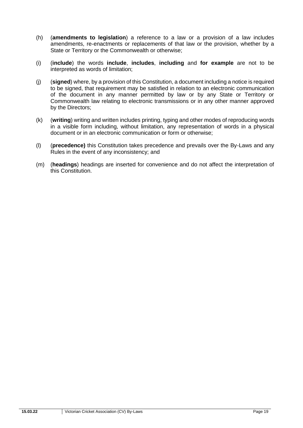- (h) (**amendments to legislation**) a reference to a law or a provision of a law includes amendments, re-enactments or replacements of that law or the provision, whether by a State or Territory or the Commonwealth or otherwise;
- (i) (**include**) the words **include**, **includes**, **including** and **for example** are not to be interpreted as words of limitation;
- (j) (**signed**) where, by a provision of this Constitution, a document including a notice is required to be signed, that requirement may be satisfied in relation to an electronic communication of the document in any manner permitted by law or by any State or Territory or Commonwealth law relating to electronic transmissions or in any other manner approved by the Directors;
- (k) (**writing**) writing and written includes printing, typing and other modes of reproducing words in a visible form including, without limitation, any representation of words in a physical document or in an electronic communication or form or otherwise;
- (l) (**precedence)** this Constitution takes precedence and prevails over the By-Laws and any Rules in the event of any inconsistency; and
- (m) (**headings**) headings are inserted for convenience and do not affect the interpretation of this Constitution.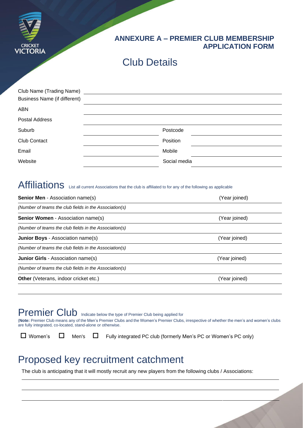<span id="page-20-0"></span>

# **ANNEXURE A – PREMIER CLUB MEMBERSHIP APPLICATION FORM**

# Club Details

| Club Name (Trading Name)     |              |
|------------------------------|--------------|
| Business Name (if different) |              |
| <b>ABN</b>                   |              |
| <b>Postal Address</b>        |              |
| Suburb                       | Postcode     |
| Club Contact                 | Position     |
| Email                        | Mobile       |
| Website                      | Social media |

# Affiliations List all current Associations that the club is affiliated to for any of the following as applicable

| <b>Senior Men</b> - Association name(s)                | (Year joined) |  |
|--------------------------------------------------------|---------------|--|
| (Number of teams the club fields in the Association(s) |               |  |
| <b>Senior Women</b> - Association name(s)              | (Year joined) |  |
| (Number of teams the club fields in the Association(s) |               |  |
| <b>Junior Boys - Association name(s)</b>               | (Year joined) |  |
| (Number of teams the club fields in the Association(s) |               |  |
| <b>Junior Girls - Association name(s)</b>              | (Year joined) |  |
| (Number of teams the club fields in the Association(s) |               |  |
| <b>Other</b> (Veterans, indoor cricket etc.)           | (Year joined) |  |
|                                                        |               |  |

# Premier Club Indicate below the type of Premier Club being applied for

(**Note:** Premier Club means any of the Men's Premier Clubs and the Women's Premier Clubs, irrespective of whether the men's and women's clubs are fully integrated, co-located, stand-alone or otherwise.

 $\Box$  Women's  $\Box$  Men's  $\Box$  Fully integrated PC club (formerly Men's PC or Women's PC only)

# Proposed key recruitment catchment

The club is anticipating that it will mostly recruit any new players from the following clubs / Associations:

**15.03.22** Victorian Cricket Association (CV) By-Laws Page 20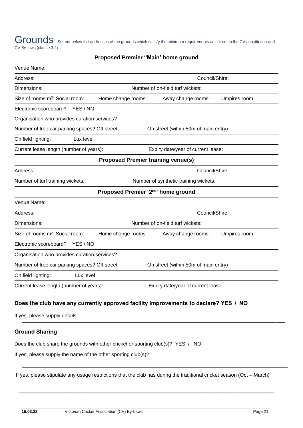<span id="page-21-0"></span>Grounds Set out below the addresses of the grounds which satisfy the minimum requirements as set out in the CV constitution and CV By-laws (clause 3.2)

# **Proposed Premier "Main' home ground**

| Venue Name:                                                       |                                           |  |
|-------------------------------------------------------------------|-------------------------------------------|--|
| Address:                                                          | Council/Shire:                            |  |
| Number of on-field turf wickets:<br>Dimensions:                   |                                           |  |
| Size of rooms m <sup>2</sup> : Social room:<br>Home change rooms: | Away change rooms:<br>Umpires room:       |  |
| YES / NO<br>Electronic scoreboard?                                |                                           |  |
| Organisation who provides curation services?                      |                                           |  |
| Number of free car parking spaces? Off street                     | On street (within 50m of main entry)      |  |
| On field lighting:<br>Lux level                                   |                                           |  |
| Current lease length (number of years):                           | Expiry date/year of current lease:        |  |
|                                                                   | <b>Proposed Premier training venue(s)</b> |  |
| Address:                                                          | Council/Shire:                            |  |
| Number of turf training wickets:                                  | Number of synthetic training wickets:     |  |
|                                                                   | Proposed Premier '2nd' home ground        |  |
| Venue Name:                                                       |                                           |  |
| Council/Shire:<br>Address:                                        |                                           |  |
| Number of on-field turf wickets:<br>Dimensions:                   |                                           |  |
| Size of rooms m <sup>2</sup> : Social room:<br>Home change rooms: | Umpires room:<br>Away change rooms:       |  |
| Electronic scoreboard?<br>YES / NO                                |                                           |  |
| Organisation who provides curation services?                      |                                           |  |
| Number of free car parking spaces? Off street                     | On street (within 50m of main entry)      |  |
| Lux level<br>On field lighting:                                   |                                           |  |
| Current lease length (number of years):                           | Expiry date/year of current lease:        |  |

# **Does the club have any currently approved facility improvements to declare? YES / NO**

If yes, please supply details:

# **Ground Sharing**

Does the club share the grounds with other cricket or sporting club(s)? YES / NO

If yes, please supply the name of the other sporting club(s)? \_\_\_\_\_\_\_\_\_\_\_\_\_\_\_\_\_\_\_

If yes, please stipulate any usage restrictions that the club has during the traditional cricket season (Oct – March)

\_\_\_\_\_\_\_\_\_\_\_\_\_\_\_\_\_\_\_\_\_\_\_\_\_\_\_\_\_\_\_\_\_\_\_\_\_\_\_\_\_\_\_\_\_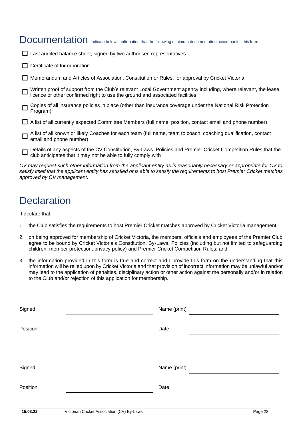# Documentation Indicate below confirmation that the following minimum documentation accompanies this form.

|        | □ Last audited balance sheet, signed by two authorised representatives                                                                                                                       |
|--------|----------------------------------------------------------------------------------------------------------------------------------------------------------------------------------------------|
|        | $\Box$ Certificate of Incorporation                                                                                                                                                          |
| 1 L    | Memorandum and Articles of Association, Constitution or Rules, for approval by Cricket Victoria                                                                                              |
| $\Box$ | Written proof of support from the Club's relevant Local Government agency including, where relevant, the lease, licence or other confirmed right to use the ground and associated facilities |
| $\Box$ | Copies of all insurance policies in place (other than insurance coverage under the National Risk Protection<br>Program)                                                                      |
|        | A list of all currently expected Committee Members (full name, position, contact email and phone number)                                                                                     |
| $\Box$ | A list of all known or likely Coaches for each team (full name, team to coach, coaching qualification, contact<br>email and phone number)                                                    |
| $\Box$ | Details of any aspects of the CV Constitution, By-Laws, Policies and Premier Cricket Competition Rules that the club anticipates that it may not be able to fully comply with                |
|        | ${\rm CV}$ may request such other information from the applicant entity as is reasonably necessary or appropriate for CV to                                                                  |

*CV may request such other information from the applicant entity as is reas* satisfy itself that the applicant entity has satisfied or is able to satisfy the requirements to host Premier Cricket matches *approved by CV management.*

# **Declaration**

I declare that:

- 1. the Club satisfies the requirements to host Premier Cricket matches approved by Cricket Victoria management;
- 2. on being approved for membership of Cricket Victoria, the members, officials and employees of the Premier Club agree to be bound by Cricket Victoria's Constitution, By-Laws, Policies (including but not limited to safeguarding children, member protection, privacy policy) and Premier Cricket Competition Rules; and
- 3. the information provided in this form is true and correct and I provide this form on the understanding that this information will be relied upon by Cricket Victoria and that provision of incorrect information may be unlawful and/or may lead to the application of penalties, disciplinary action or other action against me personally and/or in relation to the Club and/or rejection of this application for membership.

| Name (print) |
|--------------|
| Date         |
| Name (print) |
| Date         |
|              |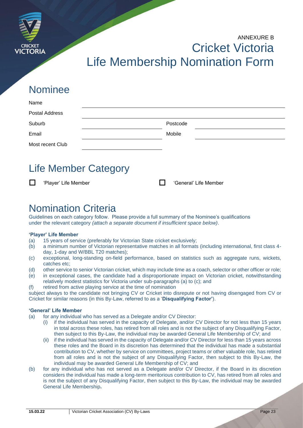

# ANNEXURE B Cricket Victoria Life Membership Nomination Form

# Nominee

| Name             |          |  |
|------------------|----------|--|
| Postal Address   |          |  |
| Suburb           | Postcode |  |
| Email            | Mobile   |  |
| Most recent Club |          |  |

# Life Member Category

□ 'Player' Life Member Verantic Member Verantic Member Verantic Member

# Nomination Criteria

Guidelines on each category follow. Please provide a full summary of the Nominee's qualifications under the relevant category *(attach a separate document if insufficient space below)*.

# **'Player' Life Member**

- (a) 15 years of service (preferably for Victorian State cricket exclusively;
- (b) a minimum number of Victorian representative matches in all formats (including international, first class 4 day, 1-day and W/BBL T20 matches);
- (c) exceptional, long-standing on-field performance, based on statistics such as aggregate runs, wickets, catches etc;
- (d) other service to senior Victorian cricket, which may include time as a coach, selector or other officer or role;
- (e) in exceptional cases, the candidate had a disproportionate impact on Victorian cricket, notwithstanding relatively modest statistics for Victoria under sub-paragraphs (a) to (c); and
- (f) retired from active playing service at the time of nomination

subject always to the candidate not bringing CV or Cricket into disrepute or not having disengaged from CV or Cricket for similar reasons (in this By-Law, referred to as a '**Disqualifying Factor'**).

# **'General' Life Member**

- (a) for any individual who has served as a Delegate and/or CV Director:
	- (i) if the individual has served in the capacity of Delegate, and/or CV Director for not less than 15 years in total across these roles, has retired from all roles and is not the subject of any Disqualifying Factor, then subject to this By-Law, the individual may be awarded General Life Membership of CV; and
	- (ii) if the individual has served in the capacity of Delegate and/or CV Director for less than 15 years across these roles and the Board in its discretion has determined that the individual has made a substantial contribution to CV, whether by service on committees, project teams or other valuable role, has retired from all roles and is not the subject of any Disqualifying Factor, then subject to this By-Law, the individual may be awarded General Life Membership of CV; and
- (b) for any individual who has not served as a Delegate and/or CV Director, if the Board in its discretion considers the individual has made a long-term meritorious contribution to CV, has retired from all roles and is not the subject of any Disqualifying Factor, then subject to this By-Law, the individual may be awarded General Life Membership**.**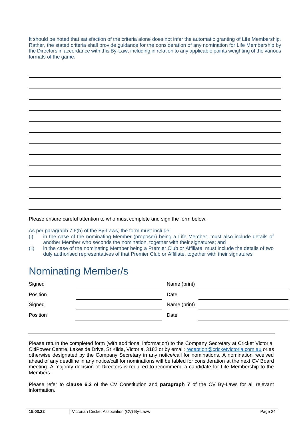It should be noted that satisfaction of the criteria alone does not infer the automatic granting of Life Membership. Rather, the stated criteria shall provide guidance for the consideration of any nomination for Life Membership by the Directors in accordance with this By-Law, including in relation to any applicable points weighting of the various formats of the game.

Please ensure careful attention to who must complete and sign the form below.

As per paragraph 7.6(b) of the By-Laws, the form must include:

- (i) in the case of the nominating Member (proposer) being a Life Member, must also include details of another Member who seconds the nomination, together with their signatures; and
- (ii) in the case of the nominating Member being a Premier Club or Affiliate, must include the details of two duly authorised representatives of that Premier Club or Affiliate, together with their signatures

# Nominating Member/s

| Signed   | Name (print) |  |
|----------|--------------|--|
| Position | Date         |  |
| Signed   | Name (print) |  |
| Position | Date         |  |
|          |              |  |

Please return the completed form (with additional information) to the Company Secretary at Cricket Victoria, CitiPower Centre, Lakeside Drive, St Kilda, Victoria, 3182 or by email: [reception@cricketvictoria.com.au](mailto:reception@cricketvictoria.com.au) or as otherwise designated by the Company Secretary in any notice/call for nominations. A nomination received ahead of any deadline in any notice/call for nominations will be tabled for consideration at the next CV Board meeting. A majority decision of Directors is required to recommend a candidate for Life Membership to the Members.

<span id="page-24-0"></span>Please refer to **clause 6.3** of the CV Constitution and **paragraph 7** of the CV By-Laws for all relevant information.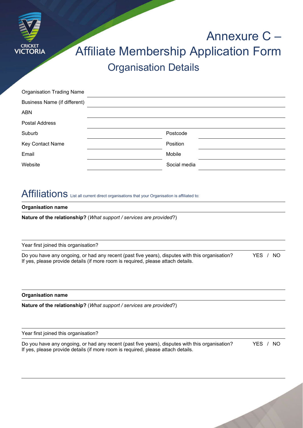

# Annexure C – Affiliate Membership Application Form Organisation Details

| <b>Organisation Trading Name</b> |              |
|----------------------------------|--------------|
| Business Name (if different)     |              |
| <b>ABN</b>                       |              |
| <b>Postal Address</b>            |              |
| Suburb                           | Postcode     |
| Key Contact Name                 | Position     |
| Email                            | Mobile       |
| Website                          | Social media |

# Affiliations List all current direct organisations that your Organisation is affiliated to:

#### **Organisation name**

**Nature of the relationship?** (*What support / services are provided*?)

Year first joined this organisation?

Do you have any ongoing, or had any recent (past five years), disputes with this organisation? YES / NO If yes, please provide details (if more room is required, please attach details.

**Organisation name** 

**Nature of the relationship?** (*What support / services are provided*?)

Year first joined this organisation?

Do you have any ongoing, or had any recent (past five years), disputes with this organisation? YES / NO If yes, please provide details (if more room is required, please attach details.